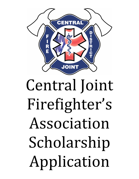

## Central Joint Firefighter's Association Scholarship Application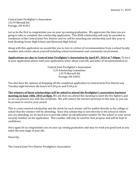Central Joint Firefighter's Association 13179 Mermill Rd Portage, OH 43451

Let us be the first to congratulate you on your up coming graduation. We appreciate the time you are going to take to complete this scholarship application. This \$500 scholarship will only be awarded to residences of the Central Joint Fire District and we will be awarding one scholarship each this year to both Bowling Green High School and Elmwood High School

Along with this application we would like you to turn in a letter of recommendation from a school faculty member and a letter about yourself including school involvement and community involvement.

**Applications are due to Central Joint Firefighter's Association by April 8th, 2014 at 7:00pm.** To turn in your application please mail your application, letter about yourself, and letter of recommendation to:

> Central Joint Firefighter's Association C/O Scholarship Committee 13179 Mermill Rd Portage, OH 43451

You also have the opinion of dropping off the completed application to Central Joint Fire District any Tuesday night between the hours of 6:30 p.m. and 9:30 p.m.

**The winners of these scholarships will be asked to attend the firefighter's association business meeting on June 10th, 2014 at 8pm.** We ask that you attend this meeting to meet the fire fighters and so we can present you with the certificate. We will contact the winners previous to this date so you can be present to receive your award.

This is a non-renewal scholarship and the check for each winner will be mailed directly to the college or school that the winners will be attending. Since this scholarship is sent directly to the school in which you are attending, we do need you to provide either an identification number for the school or your social security number on the application. This number will only be used for that propose and will be kept in confidence. 

Once again let us congratulate you on your up coming graduation and may we wish you good luck as you enter the next stage of your life.

Sincerely, 

The Central Joint Fire District Firefighters Association